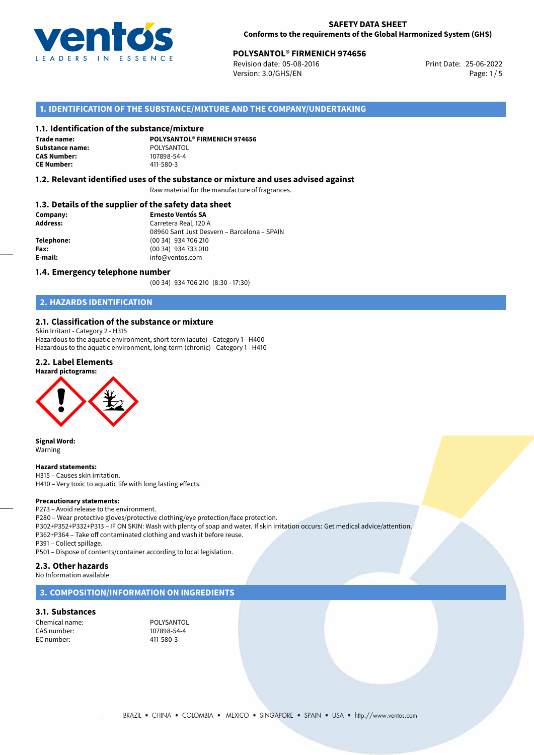

## **POLYSANTOL® FIRMENICH 974656**<br>
Revision date: 05-08-2016<br>
Print Date: 25-06-2022

Revision date: 05-08-2016 Version: 3.0/GHS/EN Page: 1/5

### **1. IDENTIFICATION OF THE SUBSTANCE/MIXTURE AND THE COMPANY/UNDERTAKING**

### **1.1. Identification of the substance/mixture**

**Trade name: Substance name:** POLYSANTOL<br> **CAS Number:** 107898-54-4 **CAS Number: CE Number:** 411-580-3

**POLYSANTOL® FIRMENICH 974656**

### **1.2. Relevant identified uses of the substance or mixture and uses advised against**

Raw material for the manufacture of fragrances.

### **1.3. Details of the supplier of the safety data sheet**

| Company:   | <b>Ernesto Ventós SA</b>                    |  |
|------------|---------------------------------------------|--|
| Address:   | Carretera Real, 120 A                       |  |
|            | 08960 Sant Just Desvern - Barcelona - SPAIN |  |
| Telephone: | (00 34) 934 706 210                         |  |
| Fax:       | (00 34) 934 733 010                         |  |
| E-mail:    | info@ventos.com                             |  |
|            |                                             |  |

### **1.4. Emergency telephone number**

(00 34) 934 706 210 (8:30 - 17:30)

### **2. HAZARDS IDENTIFICATION**

### **2.1. Classification of the substance or mixture**

Skin Irritant - Category 2 - H315 Hazardous to the aquatic environment, short-term (acute) - Category 1 - H400 Hazardous to the aquatic environment, long-term (chronic) - Category 1 - H410

### **2.2. Label Elements**





**Signal Word:** Warning

### **Hazard statements:**

H315 – Causes skin irritation. H410 – Very toxic to aquatic life with long lasting effects.

**Precautionary statements:** P273 – Avoid release to the environment.

P280 – Wear protective gloves/protective clothing/eye protection/face protection.

P302+P352+P332+P313 – IF ON SKIN: Wash with plenty of soap and water. If skin irritation occurs: Get medical advice/attention. P362+P364 – Take off contaminated clothing and wash it before reuse.

P391 – Collect spillage.

P501 – Dispose of contents/container according to local legislation.

### **2.3. Other hazards**

No Information available

### **3. COMPOSITION/INFORMATION ON INGREDIENTS**

### **3.1. Substances**

Chemical name: POLYSANTOL<br>
CAS number: 107898-54-4 CAS number: EC number: 411-580-3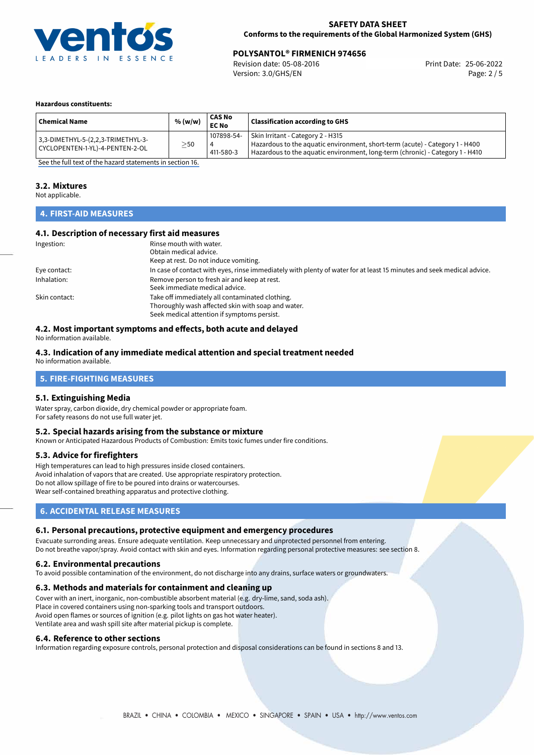

## **POLYSANTOL® FIRMENICH 974656**<br>Revision date: 05-08-2016<br>Print Date: 25-06-2022

Revision date: 05-08-2016 Version: 3.0/GHS/EN Page: 2 / 5

#### **Hazardous constituents:**

| <b>Chemical Name</b>                                                  | % (w/w)   | <b>CAS No</b><br><b>EC No</b> | <b>Classification according to GHS</b>                                                                                                                                                             |
|-----------------------------------------------------------------------|-----------|-------------------------------|----------------------------------------------------------------------------------------------------------------------------------------------------------------------------------------------------|
| 3,3-DIMETHYL-5-(2,2,3-TRIMETHYL-3-<br>CYCLOPENTEN-1-YL)-4-PENTEN-2-OL | $\geq$ 50 | 107898-54-<br>4<br>411-580-3  | Skin Irritant - Category 2 - H315<br>Hazardous to the aquatic environment, short-term (acute) - Category 1 - H400<br>Hazardous to the aquatic environment, long-term (chronic) - Category 1 - H410 |

[See the full text of the hazard statements in section 16.](#page-4-0)

### **3.2. Mixtures**

Not applicable.

### **4. FIRST-AID MEASURES**

### **4.1. Description of necessary first aid measures**

| Ingestion:    | Rinse mouth with water.                                                                                               |
|---------------|-----------------------------------------------------------------------------------------------------------------------|
|               | Obtain medical advice.                                                                                                |
|               | Keep at rest. Do not induce vomiting.                                                                                 |
| Eye contact:  | In case of contact with eyes, rinse immediately with plenty of water for at least 15 minutes and seek medical advice. |
| Inhalation:   | Remove person to fresh air and keep at rest.                                                                          |
|               | Seek immediate medical advice.                                                                                        |
| Skin contact: | Take off immediately all contaminated clothing.                                                                       |
|               | Thoroughly wash affected skin with soap and water.                                                                    |
|               | Seek medical attention if symptoms persist.                                                                           |

### **4.2. Most important symptoms and effects, both acute and delayed**

No information available.

### **4.3. Indication of any immediate medical attention and special treatment needed**

No information available.

### **5. FIRE-FIGHTING MEASURES**

### **5.1. Extinguishing Media**

Water spray, carbon dioxide, dry chemical powder or appropriate foam. For safety reasons do not use full water jet.

### **5.2. Special hazards arising from the substance or mixture**

Known or Anticipated Hazardous Products of Combustion: Emits toxic fumes under fire conditions.

### **5.3. Advice for firefighters**

High temperatures can lead to high pressures inside closed containers. Avoid inhalation of vapors that are created. Use appropriate respiratory protection. Do not allow spillage of fire to be poured into drains or watercourses. Wear self-contained breathing apparatus and protective clothing.

### **6. ACCIDENTAL RELEASE MEASURES**

### **6.1. Personal precautions, protective equipment and emergency procedures**

Evacuate surronding areas. Ensure adequate ventilation. Keep unnecessary and unprotected personnel from entering. Do not breathe vapor/spray. Avoid contact with skin and eyes. Information regarding personal protective measures: see section 8.

### **6.2. Environmental precautions**

To avoid possible contamination of the environment, do not discharge into any drains, surface waters or groundwaters.

### **6.3. Methods and materials for containment and cleaning up**

Cover with an inert, inorganic, non-combustible absorbent material (e.g. dry-lime, sand, soda ash). Place in covered containers using non-sparking tools and transport outdoors. Avoid open flames or sources of ignition (e.g. pilot lights on gas hot water heater). Ventilate area and wash spill site after material pickup is complete.

### **6.4. Reference to other sections**

Information regarding exposure controls, personal protection and disposal considerations can be found in sections 8 and 13.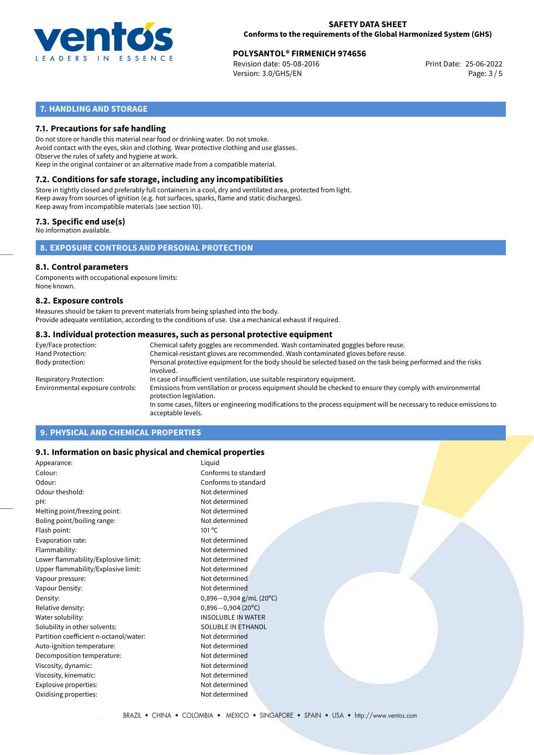

## **POLYSANTOL® FIRMENICH 974656**<br>Revision date: 05-08-2016 **Print Date: 25-06-2022**

Revision date: 05-08-2016 Version: 3.0/GHS/EN Page: 3 / 5

### **7. HANDLING AND STORAGE**

### **7.1. Precautions for safe handling**

Do not store or handle this material near food or drinking water. Do not smoke. Avoid contact with the eyes, skin and clothing. Wear protective clothing and use glasses. Observe the rules of safety and hygiene at work. Keep in the original container or an alternative made from a compatible material.

## **7.2. Conditions for safe storage, including any incompatibilities**

Store in tightly closed and preferably full containers in a cool, dry and ventilated area, protected from light. Keep away from sources of ignition (e.g. hot surfaces, sparks, flame and static discharges). Keep away from incompatible materials (see section 10).

### **7.3. Specific end use(s)**

No information available.

**8. EXPOSURE CONTROLS AND PERSONAL PROTECTION**

### **8.1. Control parameters**

Components with occupational exposure limits: None known.

### **8.2. Exposure controls**

Measures should be taken to prevent materials from being splashed into the body. Provide adequate ventilation, according to the conditions of use. Use a mechanical exhaust if required.

### **8.3. Individual protection measures, such as personal protective equipment**

| Eye/Face protection:             | Chemical safety goggles are recommended. Wash contaminated goggles before reuse.                                                            |  |  |  |  |
|----------------------------------|---------------------------------------------------------------------------------------------------------------------------------------------|--|--|--|--|
| Hand Protection:                 | Chemical-resistant gloves are recommended. Wash contaminated gloves before reuse.                                                           |  |  |  |  |
| Body protection:                 | Personal protective equipment for the body should be selected based on the task being performed and the risks<br>involved.                  |  |  |  |  |
| Respiratory Protection:          | In case of insufficient ventilation, use suitable respiratory equipment.                                                                    |  |  |  |  |
| Environmental exposure controls: | Emissions from ventilation or process equipment should be checked to ensure they comply with environmental<br>protection legislation.       |  |  |  |  |
|                                  | In some cases, filters or engineering modifications to the process equipment will be necessary to reduce emissions to<br>acceptable levels. |  |  |  |  |
|                                  |                                                                                                                                             |  |  |  |  |

### **9. PHYSICAL AND CHEMICAL PROPERTIES**

### **9.1. Information on basic physical and chemical properties**

| Appearance:                            | Liquid                      |
|----------------------------------------|-----------------------------|
| Colour:                                | Conforms to standard        |
| Odour:                                 | Conforms to standard        |
| Odour theshold:                        | Not determined              |
| pH:                                    | Not determined              |
| Melting point/freezing point:          | Not determined              |
| Boling point/boiling range:            | Not determined              |
| Flash point:                           | $101^{\circ}$ C             |
| Evaporation rate:                      | Not determined              |
| Flammability:                          | Not determined              |
| Lower flammability/Explosive limit:    | Not determined              |
| Upper flammability/Explosive limit:    | Not determined              |
| Vapour pressure:                       | Not determined              |
| Vapour Density:                        | Not determined              |
| Density:                               | $0,896 - 0,904$ g/mL (20°C) |
| Relative density:                      | $0,896 - 0,904(20°C)$       |
| Water solubility:                      | <b>INSOLUBLE IN WATER</b>   |
| Solubility in other solvents:          | <b>SOLUBLE IN ETHANOL</b>   |
| Partition coefficient n-octanol/water: | Not determined              |
| Auto-ignition temperature:             | Not determined              |
| Decomposition temperature:             | Not determined              |
| Viscosity, dynamic:                    | Not determined              |
| Viscosity, kinematic:                  | Not determined              |
| Explosive properties:                  | Not determined              |
| Oxidising properties:                  | Not determined              |
|                                        |                             |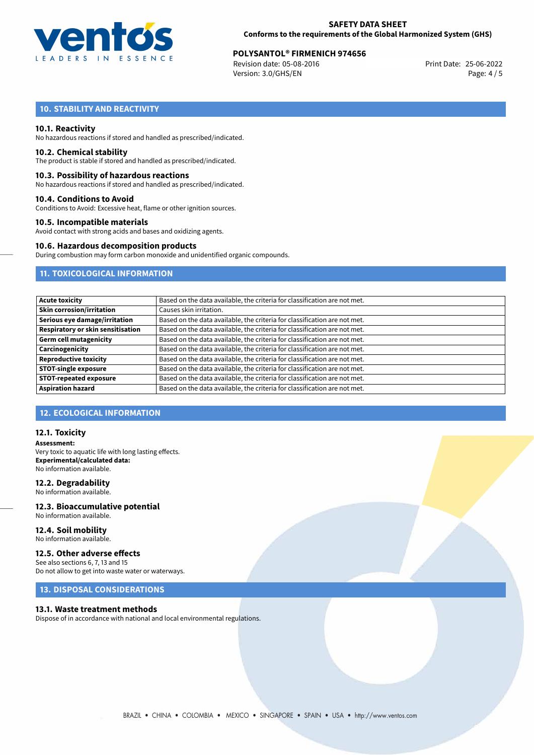

# **POLYSANTOL<sup>®</sup> FIRMENICH 974656**<br>Revision date: 05-08-2016 **Print Date: 25-06-2022**

Revision date: 05-08-2016 Version: 3.0/GHS/EN Page: 4 / 5

### **10. STABILITY AND REACTIVITY**

### **10.1. Reactivity**

No hazardous reactions if stored and handled as prescribed/indicated.

### **10.2. Chemical stability**

The product is stable if stored and handled as prescribed/indicated.

### **10.3. Possibility of hazardous reactions**

No hazardous reactions if stored and handled as prescribed/indicated.

### **10.4. Conditions to Avoid**

Conditions to Avoid: Excessive heat, flame or other ignition sources.

### **10.5. Incompatible materials**

Avoid contact with strong acids and bases and oxidizing agents.

### **10.6. Hazardous decomposition products**

During combustion may form carbon monoxide and unidentified organic compounds.

### **11. TOXICOLOGICAL INFORMATION**

| <b>Acute toxicity</b>             | Based on the data available, the criteria for classification are not met. |
|-----------------------------------|---------------------------------------------------------------------------|
| <b>Skin corrosion/irritation</b>  | Causes skin irritation.                                                   |
| Serious eye damage/irritation     | Based on the data available, the criteria for classification are not met. |
| Respiratory or skin sensitisation | Based on the data available, the criteria for classification are not met. |
| <b>Germ cell mutagenicity</b>     | Based on the data available, the criteria for classification are not met. |
| Carcinogenicity                   | Based on the data available, the criteria for classification are not met. |
| <b>Reproductive toxicity</b>      | Based on the data available, the criteria for classification are not met. |
| <b>STOT-single exposure</b>       | Based on the data available, the criteria for classification are not met. |
| <b>STOT-repeated exposure</b>     | Based on the data available, the criteria for classification are not met. |
| <b>Aspiration hazard</b>          | Based on the data available, the criteria for classification are not met. |

### **12. ECOLOGICAL INFORMATION**

### **12.1. Toxicity**

**Assessment:** Very toxic to aquatic life with long lasting effects. **Experimental/calculated data:** No information available.

### **12.2. Degradability**

No information available.

### **12.3. Bioaccumulative potential** No information available.

**12.4. Soil mobility** No information available.

### **12.5. Other adverse effects**

See also sections 6, 7, 13 and 15 Do not allow to get into waste water or waterways.

### **13. DISPOSAL CONSIDERATIONS**

### **13.1. Waste treatment methods**

Dispose of in accordance with national and local environmental regulations.